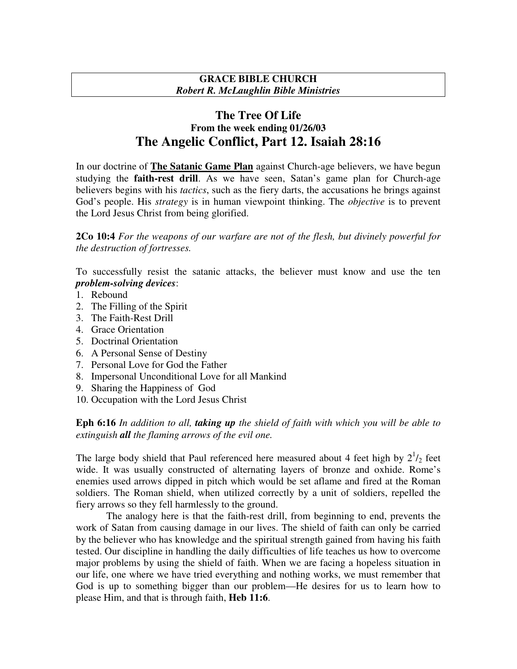## **GRACE BIBLE CHURCH** *Robert R. McLaughlin Bible Ministries*

## **The Tree Of Life From the week ending 01/26/03 The Angelic Conflict, Part 12. Isaiah 28:16**

In our doctrine of **The Satanic Game Plan** against Church-age believers, we have begun studying the **faith-rest drill**. As we have seen, Satan's game plan for Church-age believers begins with his *tactics*, such as the fiery darts, the accusations he brings against God's people. His *strategy* is in human viewpoint thinking. The *objective* is to prevent the Lord Jesus Christ from being glorified.

**2Co 10:4** *For the weapons of our warfare are not of the flesh, but divinely powerful for the destruction of fortresses.*

To successfully resist the satanic attacks, the believer must know and use the ten *problem-solving devices*:

- 1. Rebound
- 2. The Filling of the Spirit
- 3. The Faith-Rest Drill
- 4. Grace Orientation
- 5. Doctrinal Orientation
- 6. A Personal Sense of Destiny
- 7. Personal Love for God the Father
- 8. Impersonal Unconditional Love for all Mankind
- 9. Sharing the Happiness of God
- 10. Occupation with the Lord Jesus Christ

**Eph 6:16** *In addition to all, taking up the shield of faith with which you will be able to extinguish all the flaming arrows of the evil one.*

The large body shield that Paul referenced here measured about 4 feet high by  $2^{1/2}$  feet wide. It was usually constructed of alternating layers of bronze and oxhide. Rome's enemies used arrows dipped in pitch which would be set aflame and fired at the Roman soldiers. The Roman shield, when utilized correctly by a unit of soldiers, repelled the fiery arrows so they fell harmlessly to the ground.

The analogy here is that the faith-rest drill, from beginning to end, prevents the work of Satan from causing damage in our lives. The shield of faith can only be carried by the believer who has knowledge and the spiritual strength gained from having his faith tested. Our discipline in handling the daily difficulties of life teaches us how to overcome major problems by using the shield of faith. When we are facing a hopeless situation in our life, one where we have tried everything and nothing works, we must remember that God is up to something bigger than our problem—He desires for us to learn how to please Him, and that is through faith, **Heb 11:6**.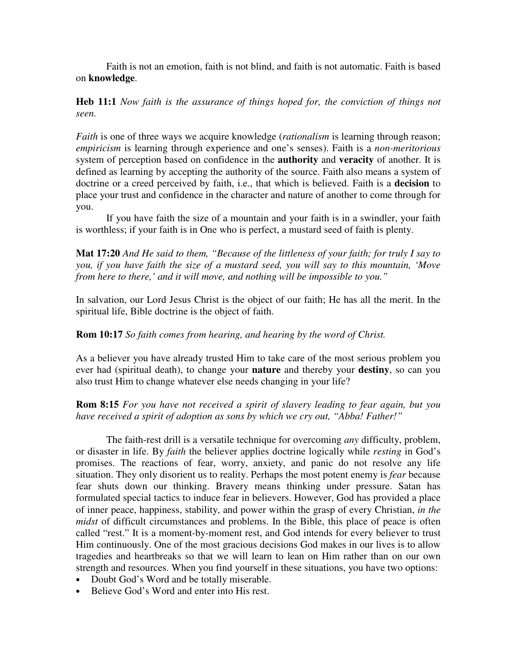Faith is not an emotion, faith is not blind, and faith is not automatic. Faith is based on **knowledge**.

**Heb 11:1** *Now faith is the assurance of things hoped for, the conviction of things not seen.*

*Faith* is one of three ways we acquire knowledge (*rationalism* is learning through reason; *empiricism* is learning through experience and one's senses). Faith is a *non-meritorious* system of perception based on confidence in the **authority** and **veracity** of another. It is defined as learning by accepting the authority of the source. Faith also means a system of doctrine or a creed perceived by faith, i.e., that which is believed. Faith is a **decision** to place your trust and confidence in the character and nature of another to come through for you.

If you have faith the size of a mountain and your faith is in a swindler, your faith is worthless; if your faith is in One who is perfect, a mustard seed of faith is plenty.

**Mat 17:20** *And He said to them, "Because of the littleness of your faith; for truly I say to you, if you have faith the size of a mustard seed, you will say to this mountain, 'Move from here to there,' and it will move, and nothing will be impossible to you."*

In salvation, our Lord Jesus Christ is the object of our faith; He has all the merit. In the spiritual life, Bible doctrine is the object of faith.

## **Rom 10:17** *So faith comes from hearing, and hearing by the word of Christ.*

As a believer you have already trusted Him to take care of the most serious problem you ever had (spiritual death), to change your **nature** and thereby your **destiny**, so can you also trust Him to change whatever else needs changing in your life?

**Rom 8:15** *For you have not received a spirit of slavery leading to fear again, but you have received a spirit of adoption as sons by which we cry out, "Abba! Father!"*

The faith-rest drill is a versatile technique for overcoming *any* difficulty, problem, or disaster in life. By *faith* the believer applies doctrine logically while *resting* in God's promises. The reactions of fear, worry, anxiety, and panic do not resolve any life situation. They only disorient us to reality. Perhaps the most potent enemy is *fear* because fear shuts down our thinking. Bravery means thinking under pressure. Satan has formulated special tactics to induce fear in believers. However, God has provided a place of inner peace, happiness, stability, and power within the grasp of every Christian, *in the midst* of difficult circumstances and problems. In the Bible, this place of peace is often called "rest." It is a moment-by-moment rest, and God intends for every believer to trust Him continuously. One of the most gracious decisions God makes in our lives is to allow tragedies and heartbreaks so that we will learn to lean on Him rather than on our own strength and resources. When you find yourself in these situations, you have two options:

- Doubt God's Word and be totally miserable.
- Believe God's Word and enter into His rest.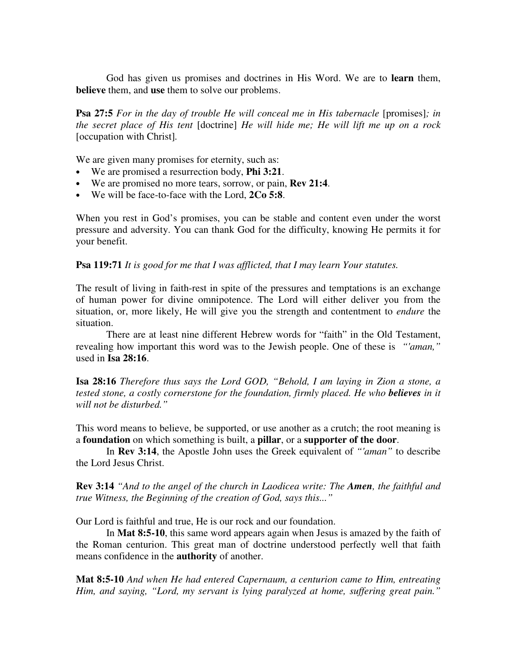God has given us promises and doctrines in His Word. We are to **learn** them, **believe** them, and **use** them to solve our problems.

**Psa 27:5** *For in the day of trouble He will conceal me in His tabernacle* [promises]*; in the secret place of His tent* [doctrine] *He will hide me; He will lift me up on a rock* [occupation with Christ]*.*

We are given many promises for eternity, such as:

- We are promised a resurrection body, **Phi 3:21**.
- We are promised no more tears, sorrow, or pain, **Rev 21:4**.
- We will be face-to-face with the Lord, **2Co 5:8**.

When you rest in God's promises, you can be stable and content even under the worst pressure and adversity. You can thank God for the difficulty, knowing He permits it for your benefit.

**Psa 119:71** *It is good for me that I was afflicted, that I may learn Your statutes.*

The result of living in faith-rest in spite of the pressures and temptations is an exchange of human power for divine omnipotence. The Lord will either deliver you from the situation, or, more likely, He will give you the strength and contentment to *endure* the situation.

There are at least nine different Hebrew words for "faith" in the Old Testament, revealing how important this word was to the Jewish people. One of these is *"'aman,"* used in **Isa 28:16**.

**Isa 28:16** *Therefore thus says the Lord GOD, "Behold, I am laying in Zion a stone, a tested stone, a costly cornerstone for the foundation, firmly placed. He who believes in it will not be disturbed."*

This word means to believe, be supported, or use another as a crutch; the root meaning is a **foundation** on which something is built, a **pillar**, or a **supporter of the door**.

In **Rev 3:14**, the Apostle John uses the Greek equivalent of *"'aman"* to describe the Lord Jesus Christ.

**Rev 3:14** *"And to the angel of the church in Laodicea write: The Amen, the faithful and true Witness, the Beginning of the creation of God, says this..."*

Our Lord is faithful and true, He is our rock and our foundation.

In **Mat 8:5-10**, this same word appears again when Jesus is amazed by the faith of the Roman centurion. This great man of doctrine understood perfectly well that faith means confidence in the **authority** of another.

**Mat 8:5-10** *And when He had entered Capernaum, a centurion came to Him, entreating Him, and saying, "Lord, my servant is lying paralyzed at home, suffering great pain."*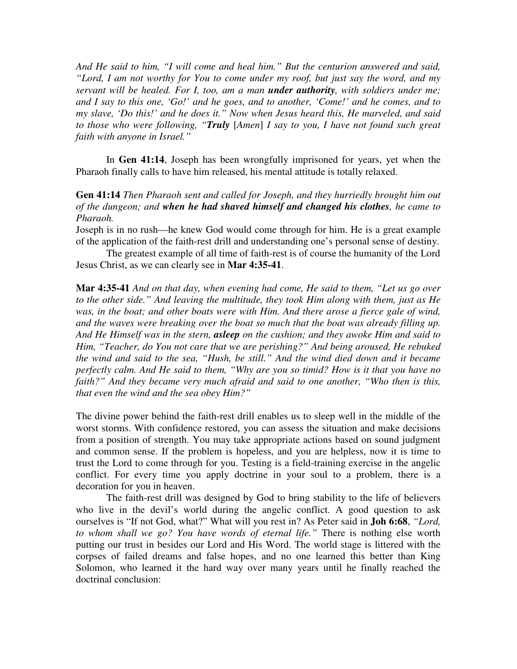*And He said to him, "I will come and heal him." But the centurion answered and said, "Lord, I am not worthy for You to come under my roof, but just say the word, and my servant will be healed. For I, too, am a man under authority, with soldiers under me; and I say to this one, 'Go!' and he goes, and to another, 'Come!' and he comes, and to my slave, 'Do this!' and he does it." Now when Jesus heard this, He marveled, and said to those who were following, "Truly* [*Amen*] *I say to you, I have not found such great faith with anyone in Israel."*

In **Gen 41:14**, Joseph has been wrongfully imprisoned for years, yet when the Pharaoh finally calls to have him released, his mental attitude is totally relaxed.

## **Gen 41:14** *Then Pharaoh sent and called for Joseph, and they hurriedly brought him out of the dungeon; and when he had shaved himself and changed his clothes, he came to Pharaoh.*

Joseph is in no rush—he knew God would come through for him. He is a great example of the application of the faith-rest drill and understanding one's personal sense of destiny.

The greatest example of all time of faith-rest is of course the humanity of the Lord Jesus Christ, as we can clearly see in **Mar 4:35-41**.

**Mar 4:35-41** *And on that day, when evening had come, He said to them, "Let us go over to the other side." And leaving the multitude, they took Him along with them, just as He was, in the boat; and other boats were with Him. And there arose a fierce gale of wind, and the waves were breaking over the boat so much that the boat was already filling up. And He Himself was in the stern, asleep on the cushion; and they awoke Him and said to Him, "Teacher, do You not care that we are perishing?" And being aroused, He rebuked the wind and said to the sea, "Hush, be still." And the wind died down and it became perfectly calm. And He said to them, "Why are you so timid? How is it that you have no faith?" And they became very much afraid and said to one another, "Who then is this, that even the wind and the sea obey Him?"*

The divine power behind the faith-rest drill enables us to sleep well in the middle of the worst storms. With confidence restored, you can assess the situation and make decisions from a position of strength. You may take appropriate actions based on sound judgment and common sense. If the problem is hopeless, and you are helpless, now it is time to trust the Lord to come through for you. Testing is a field-training exercise in the angelic conflict. For every time you apply doctrine in your soul to a problem, there is a decoration for you in heaven.

The faith-rest drill was designed by God to bring stability to the life of believers who live in the devil's world during the angelic conflict. A good question to ask ourselves is "If not God, what?" What will you rest in? As Peter said in **Joh 6:68**, *"Lord, to whom shall we go? You have words of eternal life."* There is nothing else worth putting our trust in besides our Lord and His Word. The world stage is littered with the corpses of failed dreams and false hopes, and no one learned this better than King Solomon, who learned it the hard way over many years until he finally reached the doctrinal conclusion: